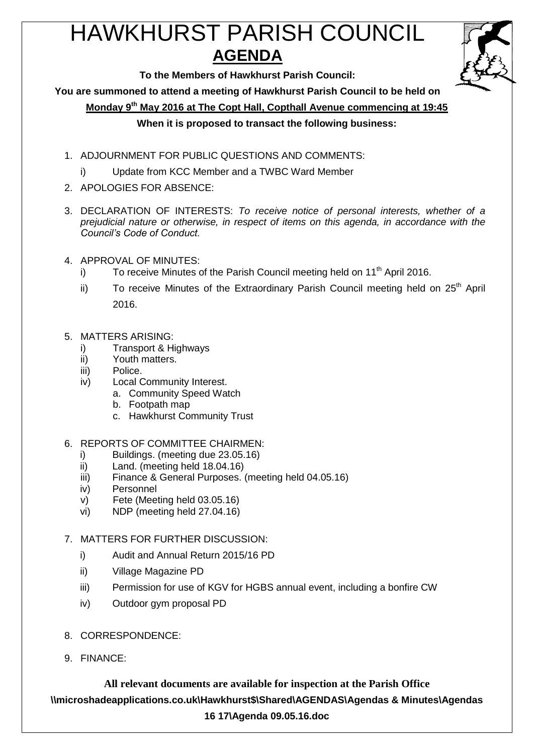# HAWKHURST PARISH COUNCIL **AGENDA**



**To the Members of Hawkhurst Parish Council:**

**You are summoned to attend a meeting of Hawkhurst Parish Council to be held on**

**Monday 9th May 2016 at The Copt Hall, Copthall Avenue commencing at 19:45**

## **When it is proposed to transact the following business:**

- 1. ADJOURNMENT FOR PUBLIC QUESTIONS AND COMMENTS:
	- i) Update from KCC Member and a TWBC Ward Member
- 2. APOLOGIES FOR ABSENCE:
- 3. DECLARATION OF INTERESTS: *To receive notice of personal interests, whether of a prejudicial nature or otherwise, in respect of items on this agenda, in accordance with the Council's Code of Conduct.*
- 4. APPROVAL OF MINUTES:
	- i) To receive Minutes of the Parish Council meeting held on  $11<sup>th</sup>$  April 2016.
	- ii) To receive Minutes of the Extraordinary Parish Council meeting held on  $25<sup>th</sup>$  April 2016.
- 5. MATTERS ARISING:
	- i) Transport & Highways
	- ii) Youth matters.
	- iii) Police.
	- iv) Local Community Interest.
		- a. Community Speed Watch
		- b. Footpath map
		- c. Hawkhurst Community Trust
- 6. REPORTS OF COMMITTEE CHAIRMEN:
	- i) Buildings. (meeting due 23.05.16)
	- ii) Land. (meeting held 18.04.16)
	- iii) Finance & General Purposes. (meeting held 04.05.16)
	- iv) Personnel
	- v) Fete (Meeting held 03.05.16)
	- vi) NDP (meeting held 27.04.16)

## 7. MATTERS FOR FURTHER DISCUSSION:

- i) Audit and Annual Return 2015/16 PD
- ii) Village Magazine PD
- iii) Permission for use of KGV for HGBS annual event, including a bonfire CW
- iv) Outdoor gym proposal PD
- 8. CORRESPONDENCE:
- 9. FINANCE:

**All relevant documents are available for inspection at the Parish Office \\microshadeapplications.co.uk\Hawkhurst\$\Shared\AGENDAS\Agendas & Minutes\Agendas 16 17\Agenda 09.05.16.doc**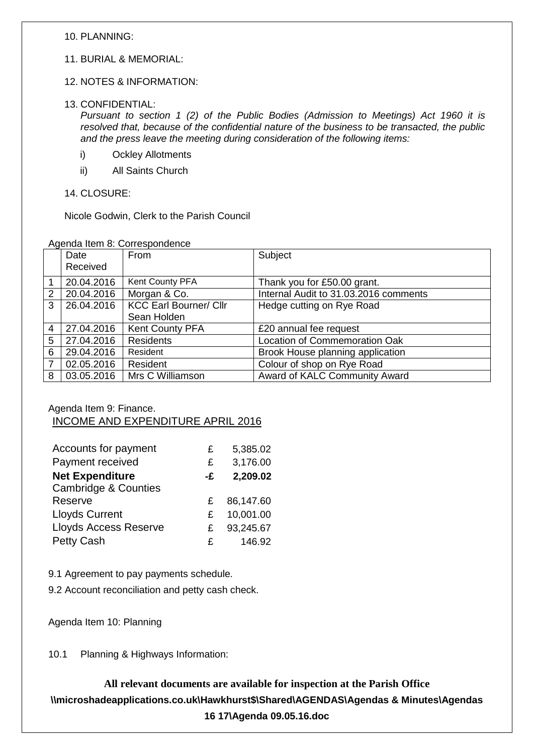10. PLANNING:

- 11. BURIAL & MEMORIAL:
- 12. NOTES & INFORMATION:
- 13. CONFIDENTIAL:

*Pursuant to section 1 (2) of the Public Bodies (Admission to Meetings) Act 1960 it is resolved that, because of the confidential nature of the business to be transacted, the public and the press leave the meeting during consideration of the following items:*

- i) Ockley Allotments
- ii) All Saints Church
- 14. CLOSURE:

Nicole Godwin, Clerk to the Parish Council

|  |  |  |  | Agenda Item 8: Correspondence |  |
|--|--|--|--|-------------------------------|--|
|--|--|--|--|-------------------------------|--|

|                | Date       | From                          | Subject                               |
|----------------|------------|-------------------------------|---------------------------------------|
|                | Received   |                               |                                       |
|                | 20.04.2016 | Kent County PFA               | Thank you for £50.00 grant.           |
| 2              | 20.04.2016 | Morgan & Co.                  | Internal Audit to 31.03.2016 comments |
| 3              | 26.04.2016 | <b>KCC Earl Bourner/ Cllr</b> | Hedge cutting on Rye Road             |
|                |            | Sean Holden                   |                                       |
| $\overline{4}$ | 27.04.2016 | Kent County PFA               | £20 annual fee request                |
| 5              | 27.04.2016 | <b>Residents</b>              | Location of Commemoration Oak         |
| 6              | 29.04.2016 | Resident                      | Brook House planning application      |
| $\overline{7}$ | 02.05.2016 | Resident                      | Colour of shop on Rye Road            |
| 8              | 03.05.2016 | Mrs C Williamson              | Award of KALC Community Award         |

### Agenda Item 9: Finance. INCOME AND EXPENDITURE APRIL 2016

| Accounts for payment            | £            | 5,385.02  |
|---------------------------------|--------------|-----------|
| Payment received                | £            | 3,176.00  |
| <b>Net Expenditure</b>          | -£           | 2,209.02  |
| <b>Cambridge &amp; Counties</b> |              |           |
| Reserve                         | £            | 86,147.60 |
| <b>Lloyds Current</b>           | £            | 10,001.00 |
| <b>Lloyds Access Reserve</b>    | £            | 93,245.67 |
| Petty Cash                      | $\mathbf{f}$ | 146.92    |

9.1 Agreement to pay payments schedule.

9.2 Account reconciliation and petty cash check.

Agenda Item 10: Planning

10.1 Planning & Highways Information:

**All relevant documents are available for inspection at the Parish Office \\microshadeapplications.co.uk\Hawkhurst\$\Shared\AGENDAS\Agendas & Minutes\Agendas 16 17\Agenda 09.05.16.doc**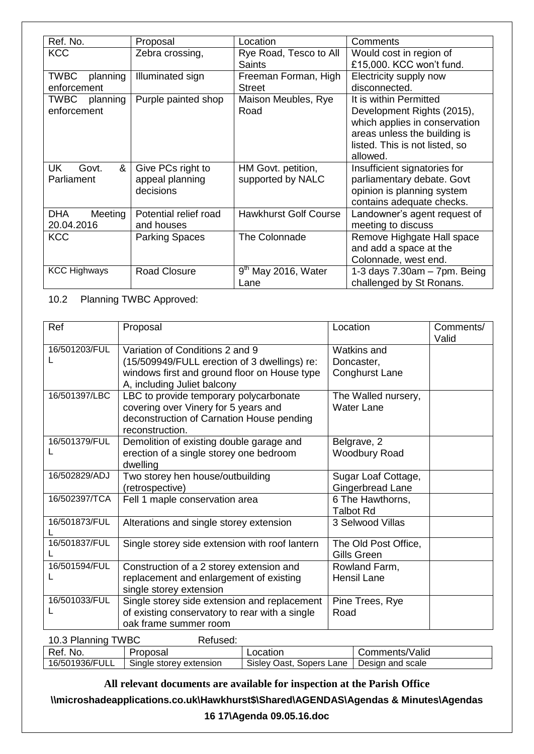| Ref. No.                | Proposal              | Location                     | Comments                        |
|-------------------------|-----------------------|------------------------------|---------------------------------|
| <b>KCC</b>              | Zebra crossing,       | Rye Road, Tesco to All       | Would cost in region of         |
|                         |                       | <b>Saints</b>                | £15,000. KCC won't fund.        |
| TWBC<br>planning        | Illuminated sign      | Freeman Forman, High         | Electricity supply now          |
| enforcement             |                       | Street                       | disconnected.                   |
| <b>TWBC</b><br>planning | Purple painted shop   | Maison Meubles, Rye          | It is within Permitted          |
| enforcement             |                       | Road                         | Development Rights (2015),      |
|                         |                       |                              | which applies in conservation   |
|                         |                       |                              | areas unless the building is    |
|                         |                       |                              | listed. This is not listed, so  |
|                         |                       |                              | allowed.                        |
| Govt.<br>&<br>UK        | Give PCs right to     | HM Govt. petition,           | Insufficient signatories for    |
| Parliament              | appeal planning       | supported by NALC            | parliamentary debate. Govt      |
|                         | decisions             |                              | opinion is planning system      |
|                         |                       |                              | contains adequate checks.       |
| DHA<br>Meeting          | Potential relief road | <b>Hawkhurst Golf Course</b> | Landowner's agent request of    |
| 20.04.2016              | and houses            |                              | meeting to discuss              |
| <b>KCC</b>              | <b>Parking Spaces</b> | The Colonnade                | Remove Highgate Hall space      |
|                         |                       |                              | and add a space at the          |
|                         |                       |                              | Colonnade, west end.            |
| <b>KCC Highways</b>     | <b>Road Closure</b>   | $9th$ May 2016, Water        | 1-3 days $7.30am - 7pm$ . Being |
|                         |                       | Lane                         | challenged by St Ronans.        |

10.2 Planning TWBC Approved:

| Ref           | Proposal                                                                                                                                                       | Location                                                  | Comments/<br>Valid |
|---------------|----------------------------------------------------------------------------------------------------------------------------------------------------------------|-----------------------------------------------------------|--------------------|
| 16/501203/FUL | Variation of Conditions 2 and 9<br>(15/509949/FULL erection of 3 dwellings) re:<br>windows first and ground floor on House type<br>A, including Juliet balcony | <b>Watkins and</b><br>Doncaster,<br><b>Conghurst Lane</b> |                    |
| 16/501397/LBC | LBC to provide temporary polycarbonate<br>covering over Vinery for 5 years and<br>deconstruction of Carnation House pending<br>reconstruction.                 | The Walled nursery,<br><b>Water Lane</b>                  |                    |
| 16/501379/FUL | Demolition of existing double garage and<br>erection of a single storey one bedroom<br>dwelling                                                                | Belgrave, 2<br><b>Woodbury Road</b>                       |                    |
| 16/502829/ADJ | Two storey hen house/outbuilding<br>(retrospective)                                                                                                            | Sugar Loaf Cottage,<br>Gingerbread Lane                   |                    |
| 16/502397/TCA | Fell 1 maple conservation area                                                                                                                                 | 6 The Hawthorns,<br><b>Talbot Rd</b>                      |                    |
| 16/501873/FUL | Alterations and single storey extension                                                                                                                        | 3 Selwood Villas                                          |                    |
| 16/501837/FUL | Single storey side extension with roof lantern                                                                                                                 | The Old Post Office,<br>Gills Green                       |                    |
| 16/501594/FUL | Construction of a 2 storey extension and<br>replacement and enlargement of existing<br>single storey extension                                                 | Rowland Farm,<br><b>Hensil Lane</b>                       |                    |
| 16/501033/FUL | Single storey side extension and replacement<br>of existing conservatory to rear with a single<br>oak frame summer room                                        | Pine Trees, Rye<br>Road                                   |                    |

| 10.3 Planning TWBC | Refused:                |                          |                  |
|--------------------|-------------------------|--------------------------|------------------|
| Ref. No.           | Proposal                | Location                 | Comments/Valid   |
| 16/501936/FULL     | Single storey extension | Sisley Oast, Sopers Lane | Design and scale |

**All relevant documents are available for inspection at the Parish Office**

**\\microshadeapplications.co.uk\Hawkhurst\$\Shared\AGENDAS\Agendas & Minutes\Agendas** 

**16 17\Agenda 09.05.16.doc**